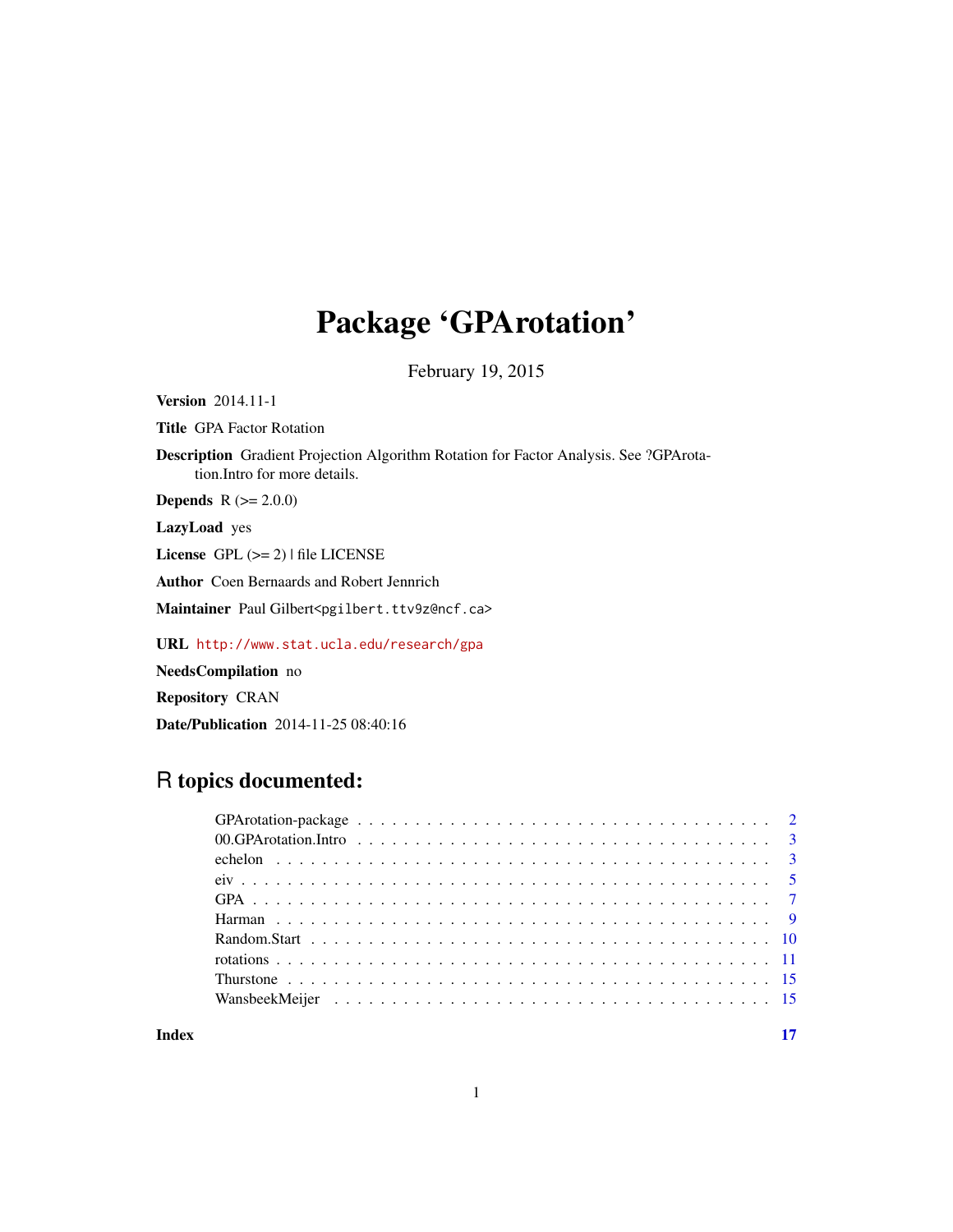# Package 'GPArotation'

February 19, 2015

<span id="page-0-0"></span>Version 2014.11-1

Title GPA Factor Rotation

Description Gradient Projection Algorithm Rotation for Factor Analysis. See ?GPArotation.Intro for more details.

**Depends**  $R$  ( $>= 2.0.0$ )

LazyLoad yes

License GPL (>= 2) | file LICENSE

Author Coen Bernaards and Robert Jennrich

Maintainer Paul Gilbert<pgilbert.ttv9z@ncf.ca>

URL <http://www.stat.ucla.edu/research/gpa>

NeedsCompilation no

Repository CRAN

Date/Publication 2014-11-25 08:40:16

# R topics documented:

**Index** [17](#page-16-0)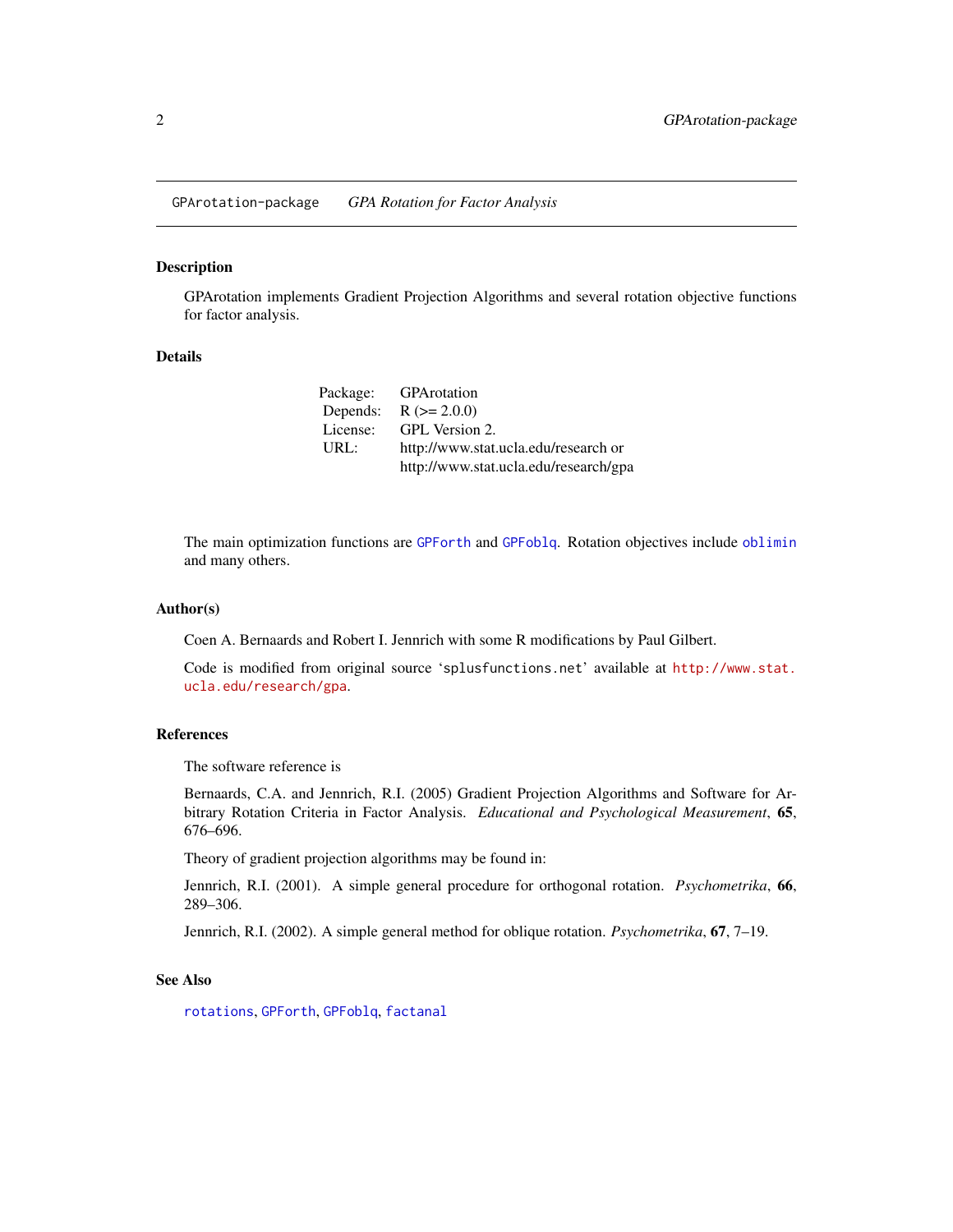<span id="page-1-1"></span><span id="page-1-0"></span>GPArotation-package *GPA Rotation for Factor Analysis*

#### Description

GPArotation implements Gradient Projection Algorithms and several rotation objective functions for factor analysis.

#### Details

| Package: | <b>GPArotation</b>                    |
|----------|---------------------------------------|
| Depends: | $R (= 2.0.0)$                         |
| License: | GPL Version 2.                        |
| URL:     | http://www.stat.ucla.edu/research or  |
|          | http://www.stat.ucla.edu/research/gpa |

The main optimization functions are [GPForth](#page-6-1) and [GPFoblq](#page-6-1). Rotation objectives include [oblimin](#page-10-1) and many others.

#### Author(s)

Coen A. Bernaards and Robert I. Jennrich with some R modifications by Paul Gilbert.

Code is modified from original source 'splusfunctions.net' available at [http://www.stat.](http://www.stat.ucla.edu/research/gpa) [ucla.edu/research/gpa](http://www.stat.ucla.edu/research/gpa).

#### References

The software reference is

Bernaards, C.A. and Jennrich, R.I. (2005) Gradient Projection Algorithms and Software for Arbitrary Rotation Criteria in Factor Analysis. *Educational and Psychological Measurement*, 65, 676–696.

Theory of gradient projection algorithms may be found in:

Jennrich, R.I. (2001). A simple general procedure for orthogonal rotation. *Psychometrika*, 66, 289–306.

Jennrich, R.I. (2002). A simple general method for oblique rotation. *Psychometrika*, 67, 7–19.

#### See Also

[rotations](#page-10-2), [GPForth](#page-6-1), [GPFoblq](#page-6-1), [factanal](#page-0-0)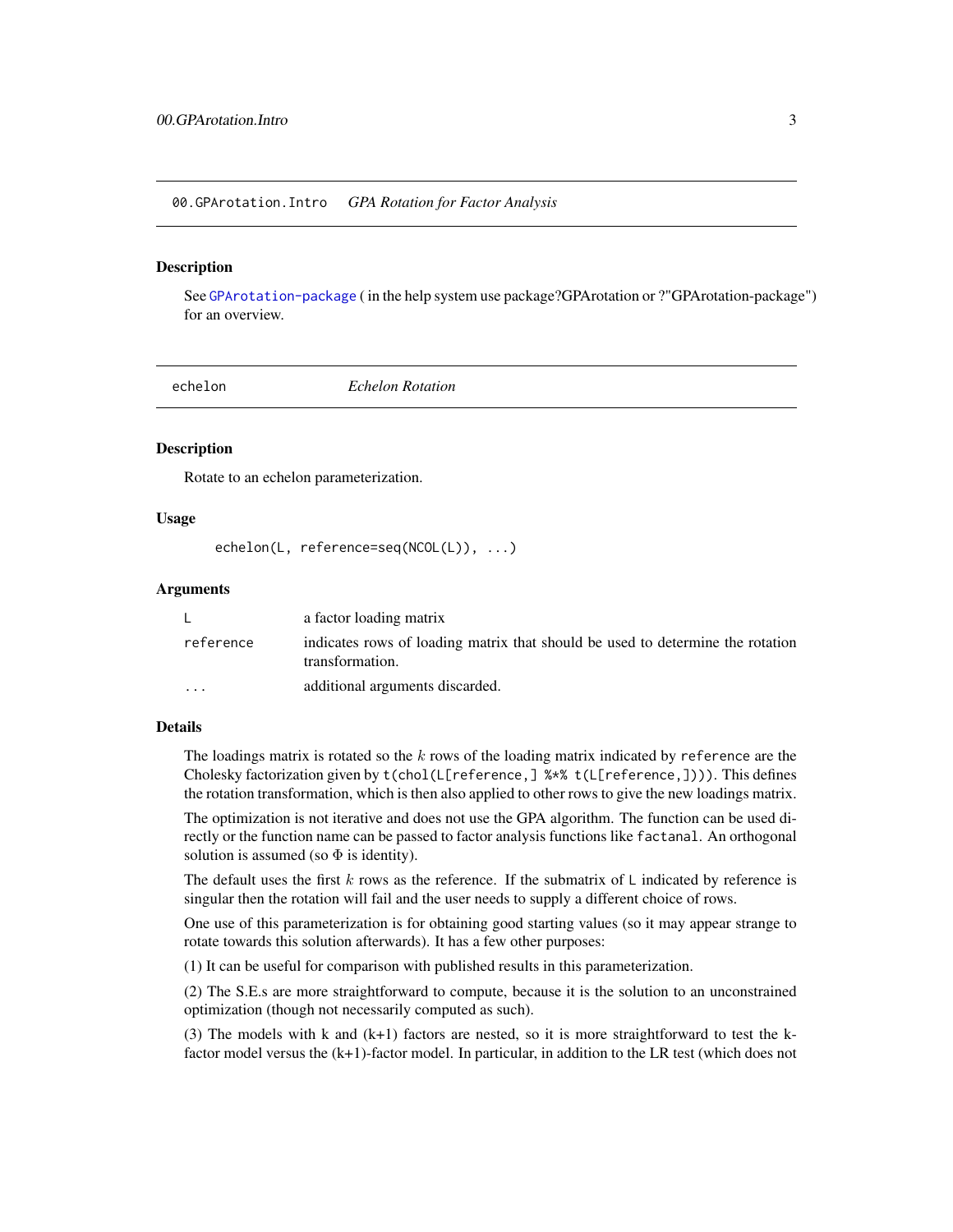<span id="page-2-0"></span>00.GPArotation.Intro *GPA Rotation for Factor Analysis*

#### **Description**

See [GPArotation-package](#page-1-1) ( in the help system use package?GPArotation or ?"GPArotation-package") for an overview.

<span id="page-2-1"></span>

echelon *Echelon Rotation*

#### Description

Rotate to an echelon parameterization.

#### Usage

echelon(L, reference=seq(NCOL(L)), ...)

### Arguments

|                         | a factor loading matrix                                                                           |
|-------------------------|---------------------------------------------------------------------------------------------------|
| reference               | indicates rows of loading matrix that should be used to determine the rotation<br>transformation. |
| $\cdot$ $\cdot$ $\cdot$ | additional arguments discarded.                                                                   |

### Details

The loadings matrix is rotated so the  $k$  rows of the loading matrix indicated by reference are the Cholesky factorization given by t(chol(L[reference,] %\*% t(L[reference,]))). This defines the rotation transformation, which is then also applied to other rows to give the new loadings matrix.

The optimization is not iterative and does not use the GPA algorithm. The function can be used directly or the function name can be passed to factor analysis functions like factanal. An orthogonal solution is assumed (so  $\Phi$  is identity).

The default uses the first k rows as the reference. If the submatrix of  $\mathsf{L}$  indicated by reference is singular then the rotation will fail and the user needs to supply a different choice of rows.

One use of this parameterization is for obtaining good starting values (so it may appear strange to rotate towards this solution afterwards). It has a few other purposes:

(1) It can be useful for comparison with published results in this parameterization.

(2) The S.E.s are more straightforward to compute, because it is the solution to an unconstrained optimization (though not necessarily computed as such).

(3) The models with k and (k+1) factors are nested, so it is more straightforward to test the kfactor model versus the (k+1)-factor model. In particular, in addition to the LR test (which does not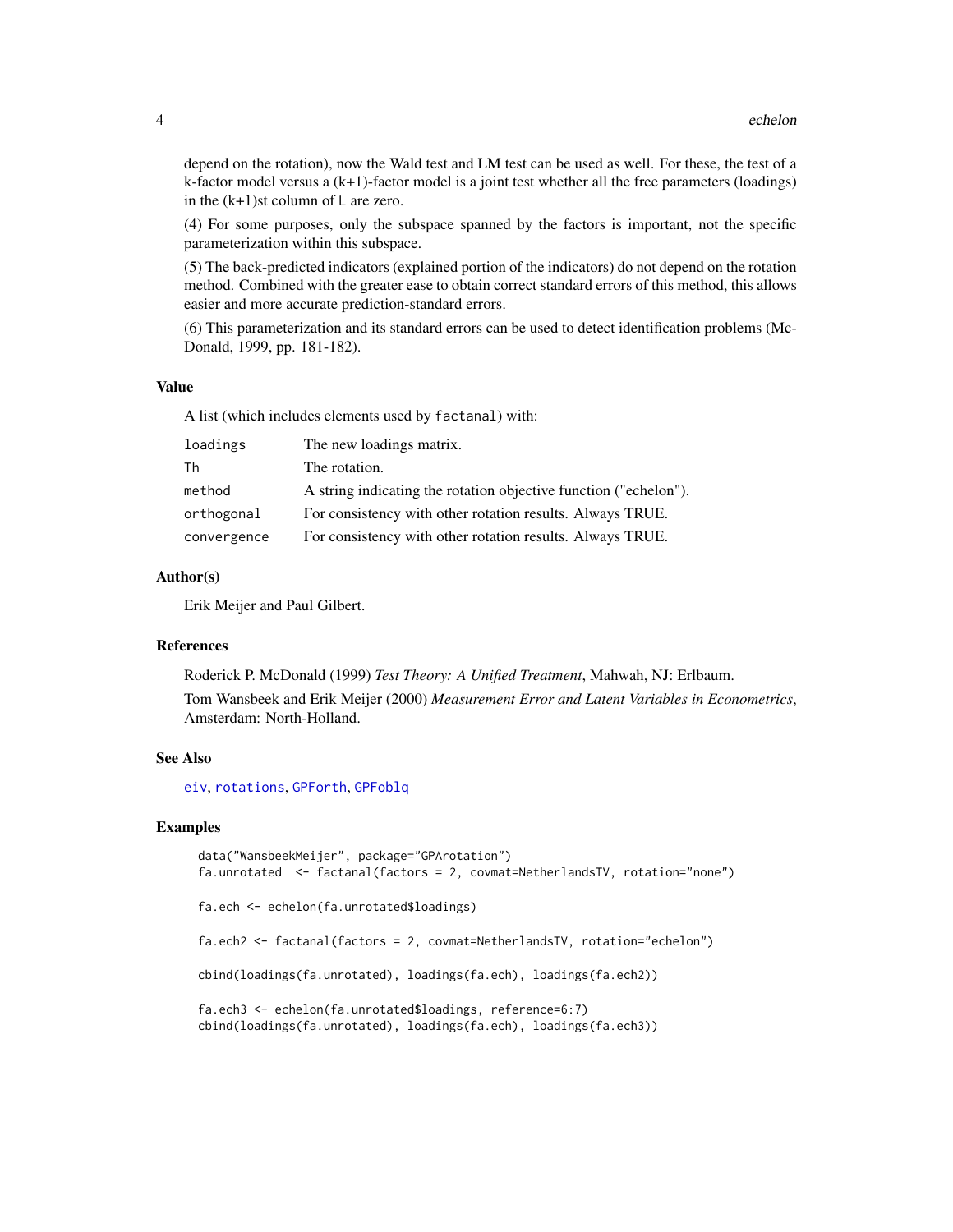<span id="page-3-0"></span>depend on the rotation), now the Wald test and LM test can be used as well. For these, the test of a k-factor model versus a (k+1)-factor model is a joint test whether all the free parameters (loadings) in the  $(k+1)$ st column of L are zero.

(4) For some purposes, only the subspace spanned by the factors is important, not the specific parameterization within this subspace.

(5) The back-predicted indicators (explained portion of the indicators) do not depend on the rotation method. Combined with the greater ease to obtain correct standard errors of this method, this allows easier and more accurate prediction-standard errors.

(6) This parameterization and its standard errors can be used to detect identification problems (Mc-Donald, 1999, pp. 181-182).

#### Value

A list (which includes elements used by factanal) with:

| loadings    | The new loadings matrix.                                         |
|-------------|------------------------------------------------------------------|
| Th          | The rotation.                                                    |
| method      | A string indicating the rotation objective function ("echelon"). |
| orthogonal  | For consistency with other rotation results. Always TRUE.        |
| convergence | For consistency with other rotation results. Always TRUE.        |

#### Author(s)

Erik Meijer and Paul Gilbert.

#### **References**

Roderick P. McDonald (1999) *Test Theory: A Unified Treatment*, Mahwah, NJ: Erlbaum. Tom Wansbeek and Erik Meijer (2000) *Measurement Error and Latent Variables in Econometrics*, Amsterdam: North-Holland.

#### See Also

[eiv](#page-4-1), [rotations](#page-10-2), [GPForth](#page-6-1), [GPFoblq](#page-6-1)

```
data("WansbeekMeijer", package="GPArotation")
fa.unrotated <- factanal(factors = 2, covmat=NetherlandsTV, rotation="none")
fa.ech <- echelon(fa.unrotated$loadings)
fa.ech2 <- factanal(factors = 2, covmat=NetherlandsTV, rotation="echelon")
cbind(loadings(fa.unrotated), loadings(fa.ech), loadings(fa.ech2))
fa.ech3 <- echelon(fa.unrotated$loadings, reference=6:7)
cbind(loadings(fa.unrotated), loadings(fa.ech), loadings(fa.ech3))
```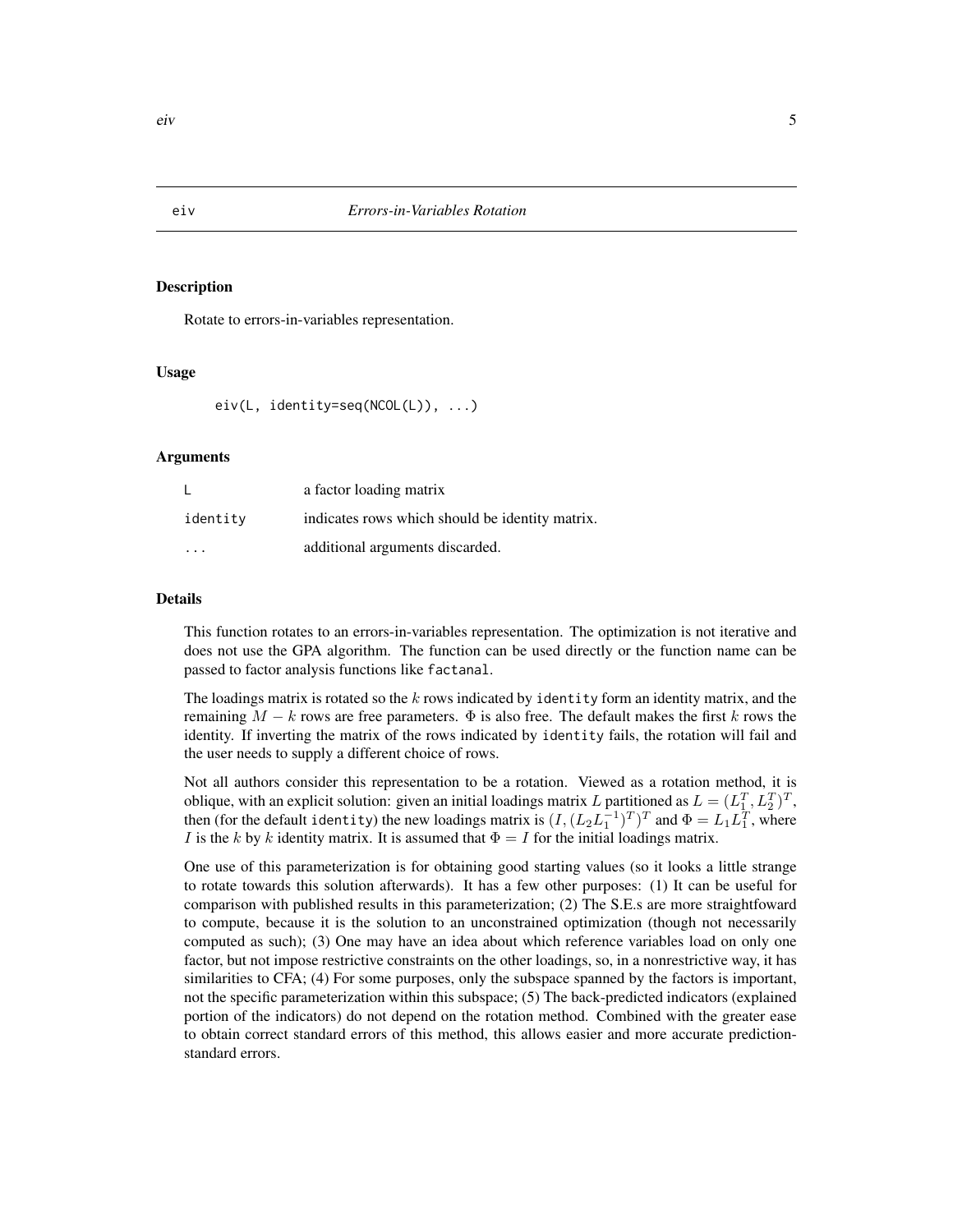Rotate to errors-in-variables representation.

#### Usage

eiv(L, identity=seq(NCOL(L)), ...)

#### Arguments

|          | a factor loading matrix                         |
|----------|-------------------------------------------------|
| identity | indicates rows which should be identity matrix. |
| .        | additional arguments discarded.                 |

#### Details

This function rotates to an errors-in-variables representation. The optimization is not iterative and does not use the GPA algorithm. The function can be used directly or the function name can be passed to factor analysis functions like factanal.

The loadings matrix is rotated so the  $k$  rows indicated by identity form an identity matrix, and the remaining  $M - k$  rows are free parameters.  $\Phi$  is also free. The default makes the first k rows the identity. If inverting the matrix of the rows indicated by identity fails, the rotation will fail and the user needs to supply a different choice of rows.

Not all authors consider this representation to be a rotation. Viewed as a rotation method, it is oblique, with an explicit solution: given an initial loadings matrix L partitioned as  $L = (L_1^T, L_2^T)^T$ , then (for the default identity) the new loadings matrix is  $(I,(L_2L_1^{-1})^T)^T$  and  $\Phi=L_1L_1^T$ , where I is the k by k identity matrix. It is assumed that  $\Phi = I$  for the initial loadings matrix.

One use of this parameterization is for obtaining good starting values (so it looks a little strange to rotate towards this solution afterwards). It has a few other purposes: (1) It can be useful for comparison with published results in this parameterization; (2) The S.E.s are more straightfoward to compute, because it is the solution to an unconstrained optimization (though not necessarily computed as such); (3) One may have an idea about which reference variables load on only one factor, but not impose restrictive constraints on the other loadings, so, in a nonrestrictive way, it has similarities to CFA; (4) For some purposes, only the subspace spanned by the factors is important, not the specific parameterization within this subspace; (5) The back-predicted indicators (explained portion of the indicators) do not depend on the rotation method. Combined with the greater ease to obtain correct standard errors of this method, this allows easier and more accurate predictionstandard errors.

<span id="page-4-1"></span><span id="page-4-0"></span>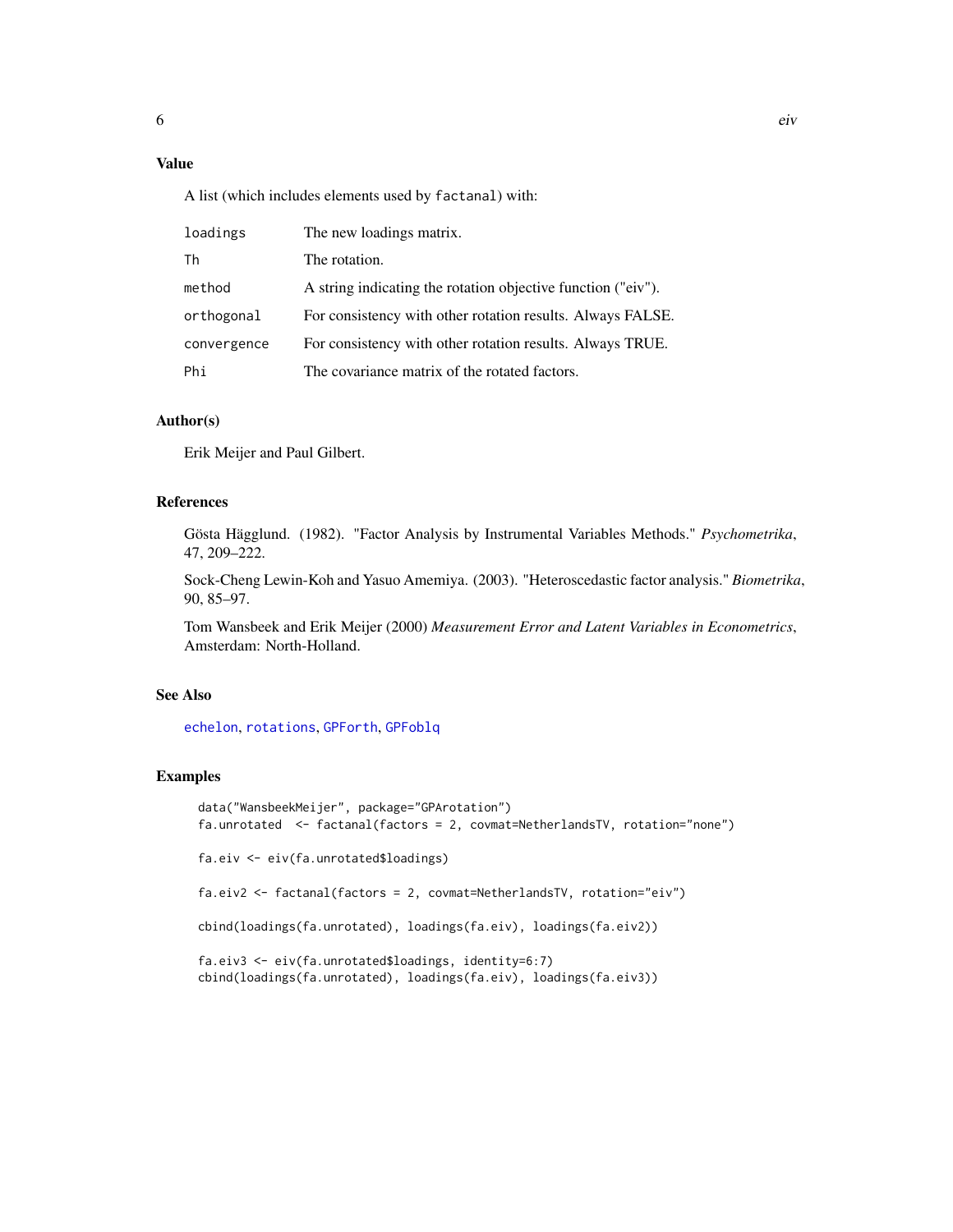## <span id="page-5-0"></span>Value

A list (which includes elements used by factanal) with:

| loadings    | The new loadings matrix.                                     |
|-------------|--------------------------------------------------------------|
| Th          | The rotation.                                                |
| method      | A string indicating the rotation objective function ("eiv"). |
| orthogonal  | For consistency with other rotation results. Always FALSE.   |
| convergence | For consistency with other rotation results. Always TRUE.    |
| Phi         | The covariance matrix of the rotated factors.                |

## Author(s)

Erik Meijer and Paul Gilbert.

#### References

Gösta Hägglund. (1982). "Factor Analysis by Instrumental Variables Methods." *Psychometrika*, 47, 209–222.

Sock-Cheng Lewin-Koh and Yasuo Amemiya. (2003). "Heteroscedastic factor analysis." *Biometrika*, 90, 85–97.

Tom Wansbeek and Erik Meijer (2000) *Measurement Error and Latent Variables in Econometrics*, Amsterdam: North-Holland.

#### See Also

[echelon](#page-2-1), [rotations](#page-10-2), [GPForth](#page-6-1), [GPFoblq](#page-6-1)

```
data("WansbeekMeijer", package="GPArotation")
fa.unrotated <- factanal(factors = 2, covmat=NetherlandsTV, rotation="none")
fa.eiv <- eiv(fa.unrotated$loadings)
fa.eiv2 <- factanal(factors = 2, covmat=NetherlandsTV, rotation="eiv")
cbind(loadings(fa.unrotated), loadings(fa.eiv), loadings(fa.eiv2))
fa.eiv3 <- eiv(fa.unrotated$loadings, identity=6:7)
cbind(loadings(fa.unrotated), loadings(fa.eiv), loadings(fa.eiv3))
```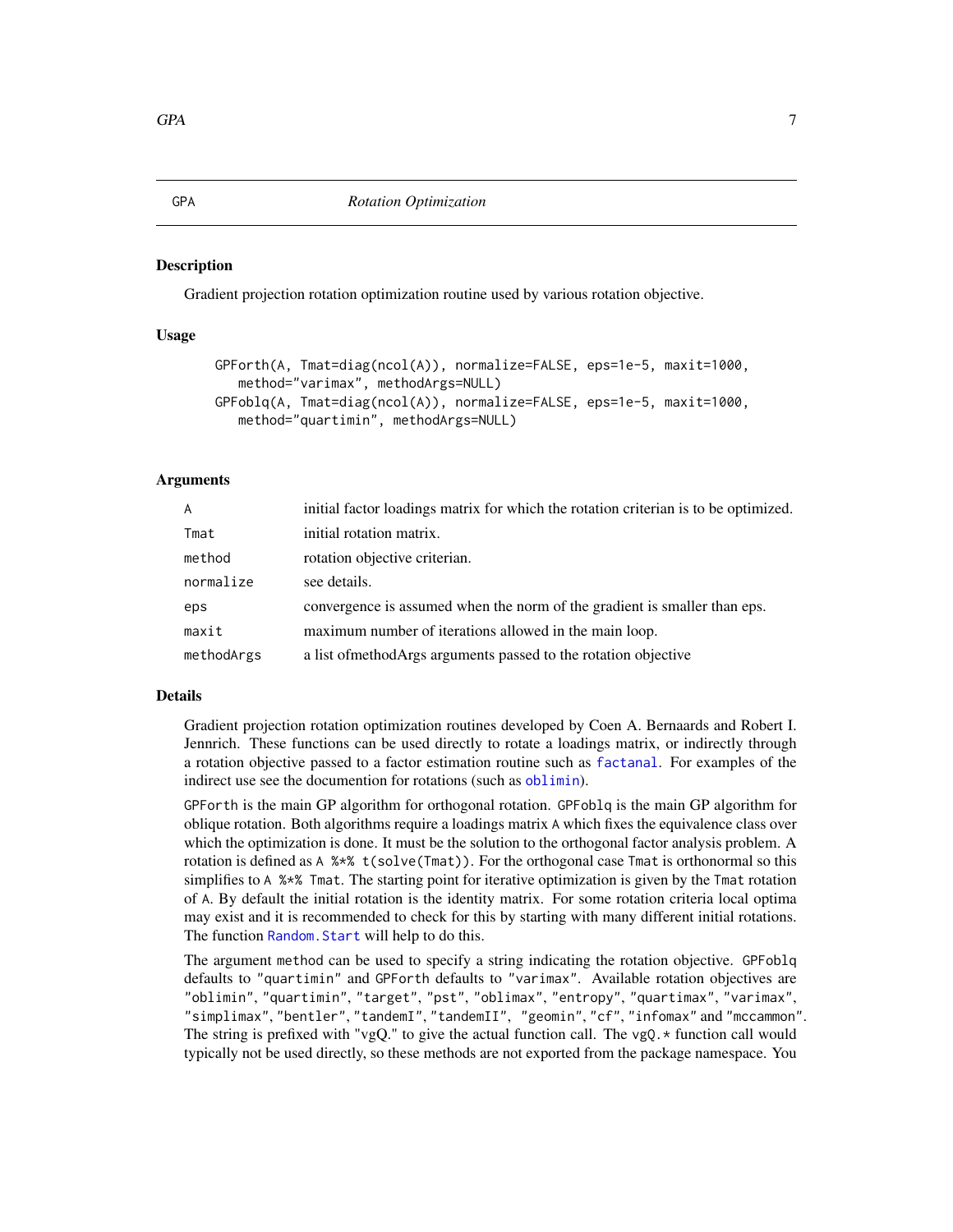<span id="page-6-1"></span><span id="page-6-0"></span>Gradient projection rotation optimization routine used by various rotation objective.

#### Usage

```
GPForth(A, Tmat=diag(ncol(A)), normalize=FALSE, eps=1e-5, maxit=1000,
   method="varimax", methodArgs=NULL)
GPFoblq(A, Tmat=diag(ncol(A)), normalize=FALSE, eps=1e-5, maxit=1000,
  method="quartimin", methodArgs=NULL)
```
#### Arguments

| $\overline{A}$ | initial factor loadings matrix for which the rotation criterian is to be optimized. |
|----------------|-------------------------------------------------------------------------------------|
| Tmat           | initial rotation matrix.                                                            |
| method         | rotation objective criterian.                                                       |
| normalize      | see details.                                                                        |
| eps            | convergence is assumed when the norm of the gradient is smaller than eps.           |
| maxit          | maximum number of iterations allowed in the main loop.                              |
| methodArgs     | a list of method Args arguments passed to the rotation objective                    |

#### Details

Gradient projection rotation optimization routines developed by Coen A. Bernaards and Robert I. Jennrich. These functions can be used directly to rotate a loadings matrix, or indirectly through a rotation objective passed to a factor estimation routine such as [factanal](#page-0-0). For examples of the indirect use see the documention for rotations (such as [oblimin](#page-10-1)).

GPForth is the main GP algorithm for orthogonal rotation. GPFoblq is the main GP algorithm for oblique rotation. Both algorithms require a loadings matrix A which fixes the equivalence class over which the optimization is done. It must be the solution to the orthogonal factor analysis problem. A rotation is defined as A %\*% t(solve(Tmat)). For the orthogonal case Tmat is orthonormal so this simplifies to A %\*% Tmat. The starting point for iterative optimization is given by the Tmat rotation of A. By default the initial rotation is the identity matrix. For some rotation criteria local optima may exist and it is recommended to check for this by starting with many different initial rotations. The function Random. Start will help to do this.

The argument method can be used to specify a string indicating the rotation objective. GPFoblq defaults to "quartimin" and GPForth defaults to "varimax". Available rotation objectives are "oblimin", "quartimin", "target", "pst", "oblimax", "entropy", "quartimax", "varimax", "simplimax", "bentler", "tandemI", "tandemII", "geomin", "cf", "infomax" and "mccammon". The string is prefixed with "vgQ." to give the actual function call. The vgQ. $\star$  function call would typically not be used directly, so these methods are not exported from the package namespace. You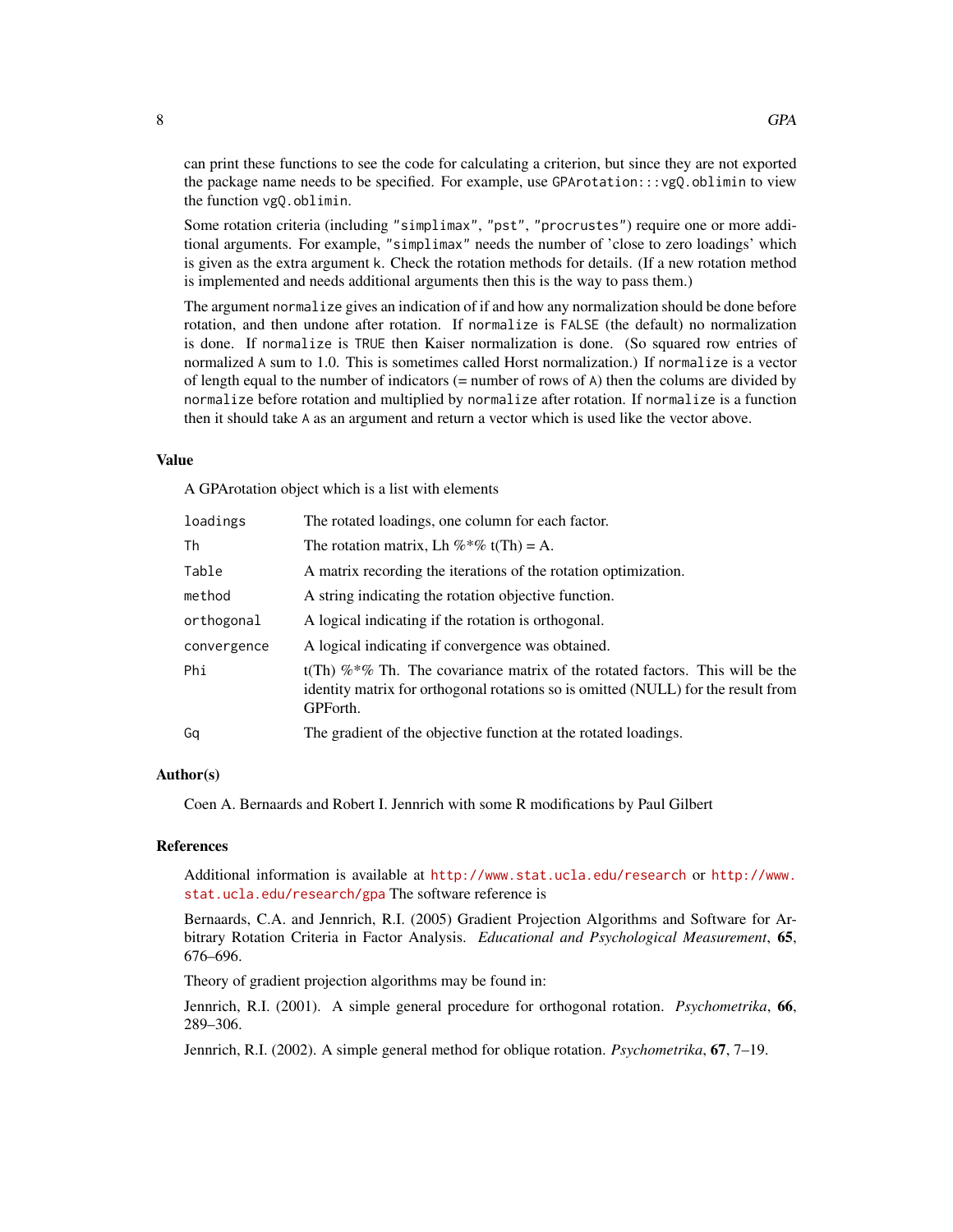can print these functions to see the code for calculating a criterion, but since they are not exported the package name needs to be specified. For example, use GPArotation:::vgQ.oblimin to view the function vgQ.oblimin.

Some rotation criteria (including "simplimax", "pst", "procrustes") require one or more additional arguments. For example, "simplimax" needs the number of 'close to zero loadings' which is given as the extra argument k. Check the rotation methods for details. (If a new rotation method is implemented and needs additional arguments then this is the way to pass them.)

The argument normalize gives an indication of if and how any normalization should be done before rotation, and then undone after rotation. If normalize is FALSE (the default) no normalization is done. If normalize is TRUE then Kaiser normalization is done. (So squared row entries of normalized A sum to 1.0. This is sometimes called Horst normalization.) If normalize is a vector of length equal to the number of indicators (= number of rows of A) then the colums are divided by normalize before rotation and multiplied by normalize after rotation. If normalize is a function then it should take A as an argument and return a vector which is used like the vector above.

#### Value

A GPArotation object which is a list with elements

| loadings    | The rotated loadings, one column for each factor.                                                                                                                                 |
|-------------|-----------------------------------------------------------------------------------------------------------------------------------------------------------------------------------|
| Th          | The rotation matrix, Lh $\%$ *% t(Th) = A.                                                                                                                                        |
| Table       | A matrix recording the iterations of the rotation optimization.                                                                                                                   |
| method      | A string indicating the rotation objective function.                                                                                                                              |
| orthogonal  | A logical indicating if the rotation is orthogonal.                                                                                                                               |
| convergence | A logical indicating if convergence was obtained.                                                                                                                                 |
| Phi         | t(Th) $\%*\%$ Th. The covariance matrix of the rotated factors. This will be the<br>identity matrix for orthogonal rotations so is omitted (NULL) for the result from<br>GPForth. |
| Ga          | The gradient of the objective function at the rotated loadings.                                                                                                                   |

#### Author(s)

Coen A. Bernaards and Robert I. Jennrich with some R modifications by Paul Gilbert

#### References

Additional information is available at <http://www.stat.ucla.edu/research> or [http://www.](http://www.stat.ucla.edu/research/gpa) [stat.ucla.edu/research/gpa](http://www.stat.ucla.edu/research/gpa) The software reference is

Bernaards, C.A. and Jennrich, R.I. (2005) Gradient Projection Algorithms and Software for Arbitrary Rotation Criteria in Factor Analysis. *Educational and Psychological Measurement*, 65, 676–696.

Theory of gradient projection algorithms may be found in:

Jennrich, R.I. (2001). A simple general procedure for orthogonal rotation. *Psychometrika*, 66, 289–306.

Jennrich, R.I. (2002). A simple general method for oblique rotation. *Psychometrika*, 67, 7–19.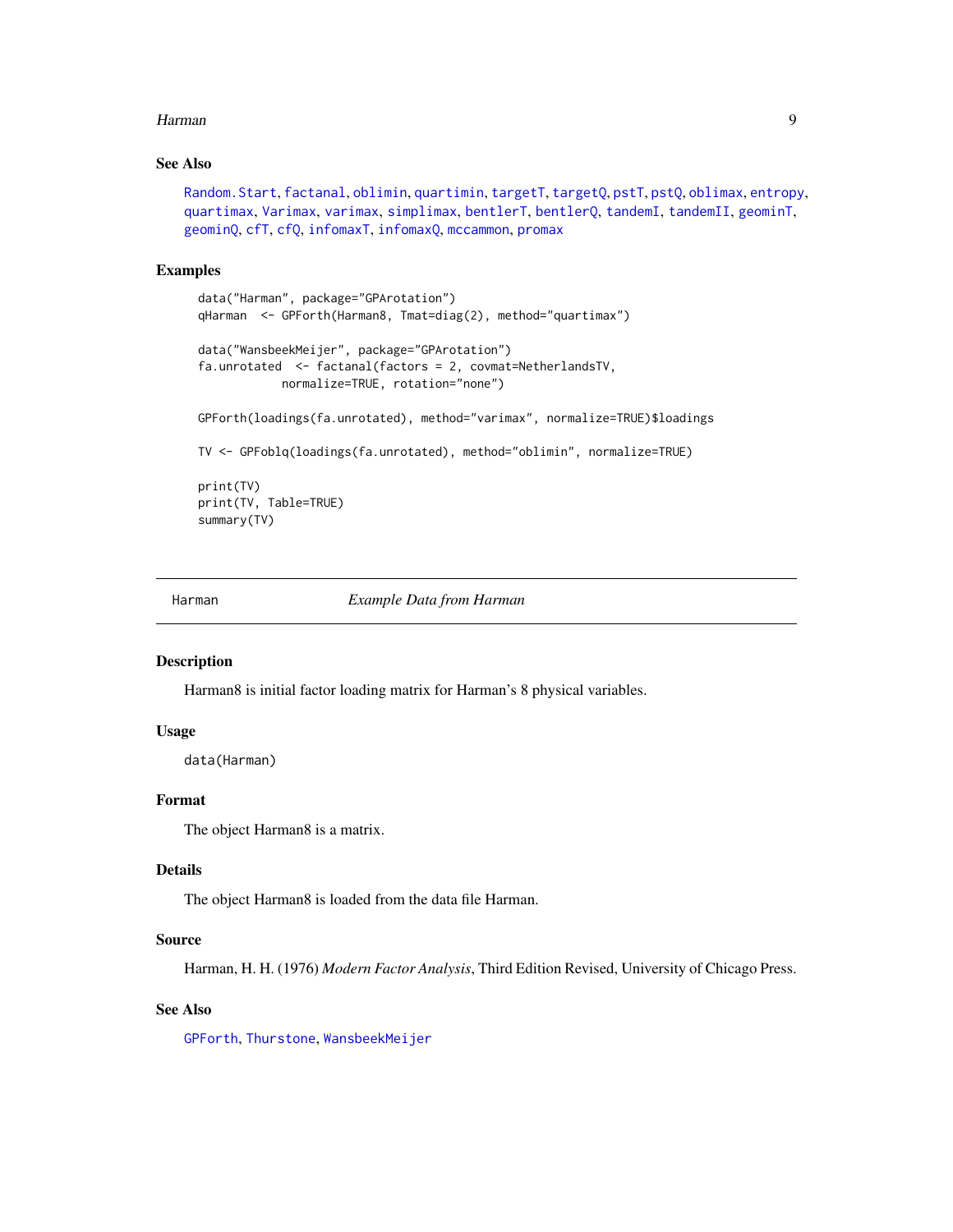#### <span id="page-8-0"></span>Harman 9

#### See Also

```
Random.Start, factanal, oblimin, quartimin, targetT, targetQ, pstT, pstQ, oblimax, entropy,
quartimax, Varimax, varimax, simplimax, bentlerT, bentlerQ, tandemI, tandemII, geominT,
geominQ, cfT, cfQ, infomaxT, infomaxQ, mccammon, promax
```
#### Examples

```
data("Harman", package="GPArotation")
qHarman <- GPForth(Harman8, Tmat=diag(2), method="quartimax")
data("WansbeekMeijer", package="GPArotation")
fa.unrotated <- factanal(factors = 2, covmat=NetherlandsTV,
           normalize=TRUE, rotation="none")
GPForth(loadings(fa.unrotated), method="varimax", normalize=TRUE)$loadings
TV <- GPFoblq(loadings(fa.unrotated), method="oblimin", normalize=TRUE)
print(TV)
print(TV, Table=TRUE)
summary(TV)
```
<span id="page-8-1"></span>

Harman *Example Data from Harman*

#### Description

Harman8 is initial factor loading matrix for Harman's 8 physical variables.

#### Usage

data(Harman)

#### Format

The object Harman8 is a matrix.

#### Details

The object Harman8 is loaded from the data file Harman.

#### Source

Harman, H. H. (1976) *Modern Factor Analysis*, Third Edition Revised, University of Chicago Press.

#### See Also

[GPForth](#page-6-1), [Thurstone](#page-14-1), [WansbeekMeijer](#page-14-2)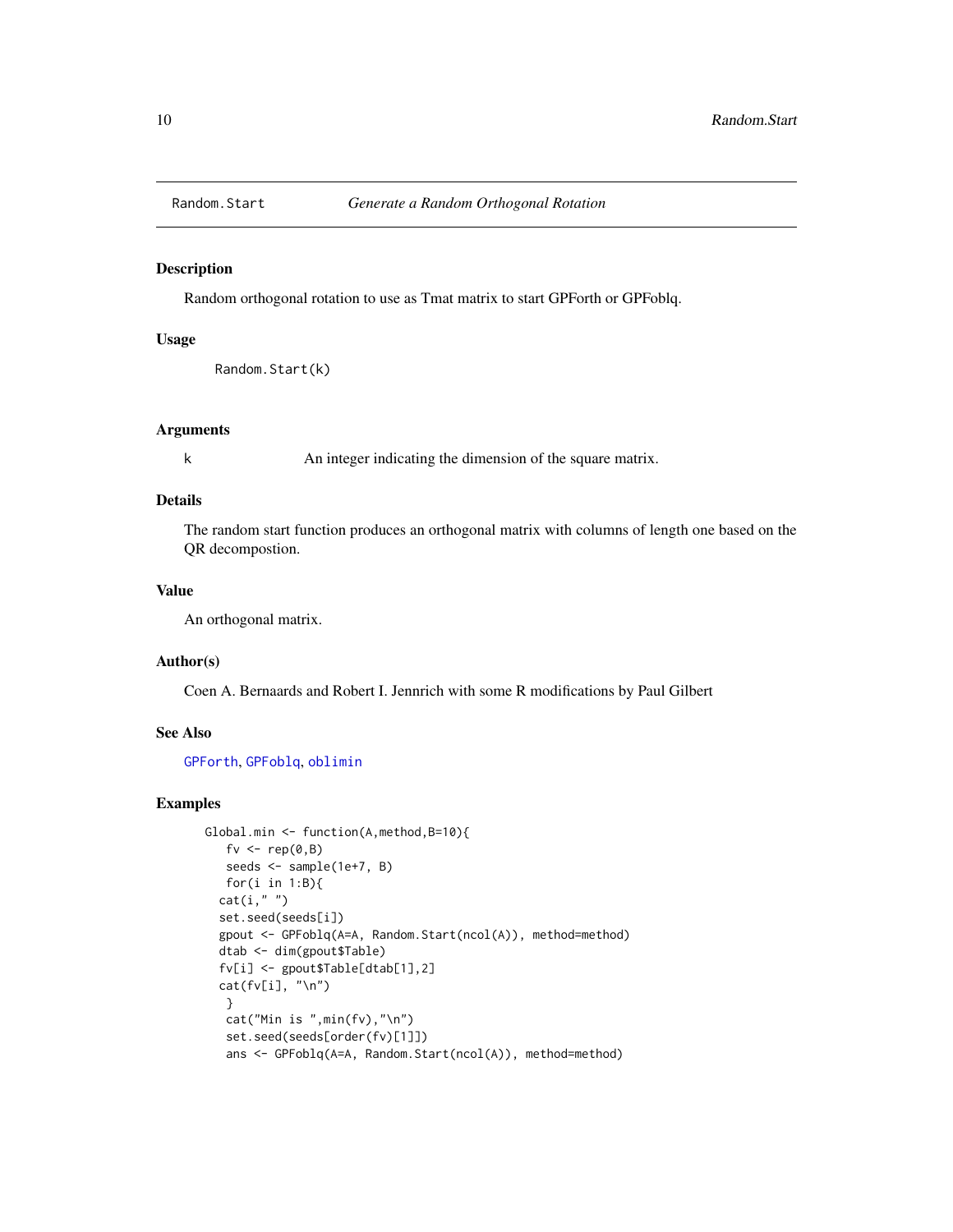<span id="page-9-1"></span><span id="page-9-0"></span>

Random orthogonal rotation to use as Tmat matrix to start GPForth or GPFoblq.

#### Usage

Random.Start(k)

#### Arguments

k An integer indicating the dimension of the square matrix.

#### Details

The random start function produces an orthogonal matrix with columns of length one based on the QR decompostion.

### Value

An orthogonal matrix.

#### Author(s)

Coen A. Bernaards and Robert I. Jennrich with some R modifications by Paul Gilbert

#### See Also

[GPForth](#page-6-1), [GPFoblq](#page-6-1), [oblimin](#page-10-1)

```
Global.min <- function(A,method,B=10){
   fv \leq rep(0,B)
   seeds <- sample(1e+7, B)
   for(i in 1:B){
  cat(i, "")set.seed(seeds[i])
  gpout <- GPFoblq(A=A, Random.Start(ncol(A)), method=method)
  dtab <- dim(gpout$Table)
  fv[i] <- gpout$Table[dtab[1],2]
  cat(fv[i], "\n")
   }
   cat("Min is ",min(fv),"\n")
   set.seed(seeds[order(fv)[1]])
   ans <- GPFoblq(A=A, Random.Start(ncol(A)), method=method)
```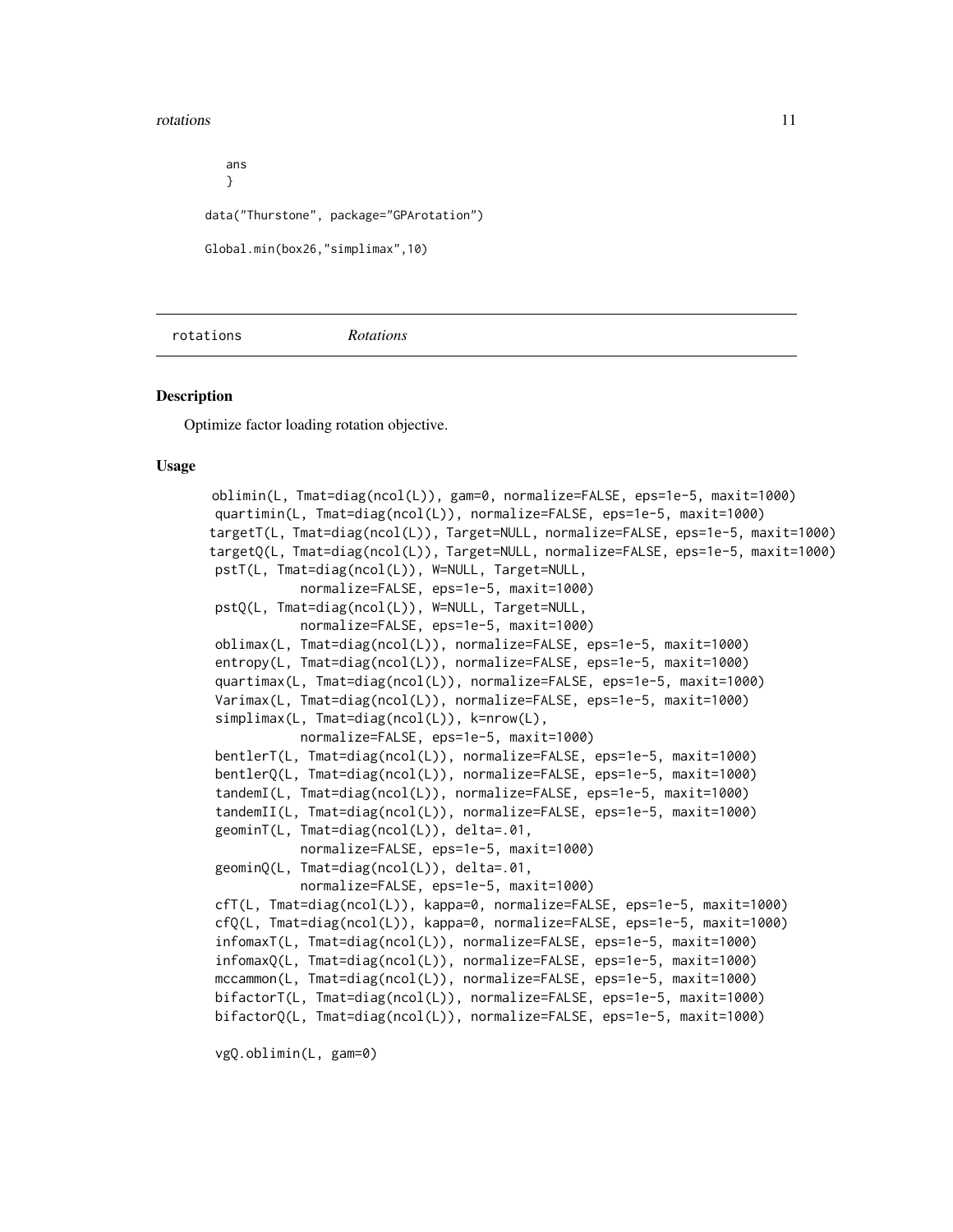#### <span id="page-10-0"></span>rotations and the control of the control of the control of the control of the control of the control of the control of the control of the control of the control of the control of the control of the control of the control o

ans } data("Thurstone", package="GPArotation") Global.min(box26,"simplimax",10)

<span id="page-10-2"></span>rotations *Rotations*

#### <span id="page-10-1"></span>**Description**

Optimize factor loading rotation objective.

#### Usage

```
oblimin(L, Tmat=diag(ncol(L)), gam=0, normalize=FALSE, eps=1e-5, maxit=1000)
quartimin(L, Tmat=diag(ncol(L)), normalize=FALSE, eps=1e-5, maxit=1000)
targetT(L, Tmat=diag(ncol(L)), Target=NULL, normalize=FALSE, eps=1e-5, maxit=1000)
targetQ(L, Tmat=diag(ncol(L)), Target=NULL, normalize=FALSE, eps=1e-5, maxit=1000)
pstT(L, Tmat=diag(ncol(L)), W=NULL, Target=NULL,
           normalize=FALSE, eps=1e-5, maxit=1000)
pstQ(L, Tmat=diag(ncol(L)), W=NULL, Target=NULL,
           normalize=FALSE, eps=1e-5, maxit=1000)
oblimax(L, Tmat=diag(ncol(L)), normalize=FALSE, eps=1e-5, maxit=1000)
entropy(L, Tmat=diag(ncol(L)), normalize=FALSE, eps=1e-5, maxit=1000)
quartimax(L, Tmat=diag(ncol(L)), normalize=FALSE, eps=1e-5, maxit=1000)
Varimax(L, Tmat=diag(ncol(L)), normalize=FALSE, eps=1e-5, maxit=1000)
simplimax(L, Tmat=diag(ncol(L)), k=nrow(L),
           normalize=FALSE, eps=1e-5, maxit=1000)
bentlerT(L, Tmat=diag(ncol(L)), normalize=FALSE, eps=1e-5, maxit=1000)
bentlerQ(L, Tmat=diag(ncol(L)), normalize=FALSE, eps=1e-5, maxit=1000)
tandemI(L, Tmat=diag(ncol(L)), normalize=FALSE, eps=1e-5, maxit=1000)
tandemII(L, Tmat=diag(ncol(L)), normalize=FALSE, eps=1e-5, maxit=1000)
geominT(L, Tmat=diag(ncol(L)), delta=.01,
           normalize=FALSE, eps=1e-5, maxit=1000)
geominQ(L, Tmat=diag(ncol(L)), delta=.01,
            normalize=FALSE, eps=1e-5, maxit=1000)
cfT(L, Tmat=diag(ncol(L)), kappa=0, normalize=FALSE, eps=1e-5, maxit=1000)
cfQ(L, Tmat=diag(ncol(L)), kappa=0, normalize=FALSE, eps=1e-5, maxit=1000)
infomaxT(L, Tmat=diag(ncol(L)), normalize=FALSE, eps=1e-5, maxit=1000)
infomaxQ(L, Tmat=diag(ncol(L)), normalize=FALSE, eps=1e-5, maxit=1000)
mccammon(L, Tmat=diag(ncol(L)), normalize=FALSE, eps=1e-5, maxit=1000)
bifactorT(L, Tmat=diag(ncol(L)), normalize=FALSE, eps=1e-5, maxit=1000)
bifactorQ(L, Tmat=diag(ncol(L)), normalize=FALSE, eps=1e-5, maxit=1000)
```
vgQ.oblimin(L, gam=0)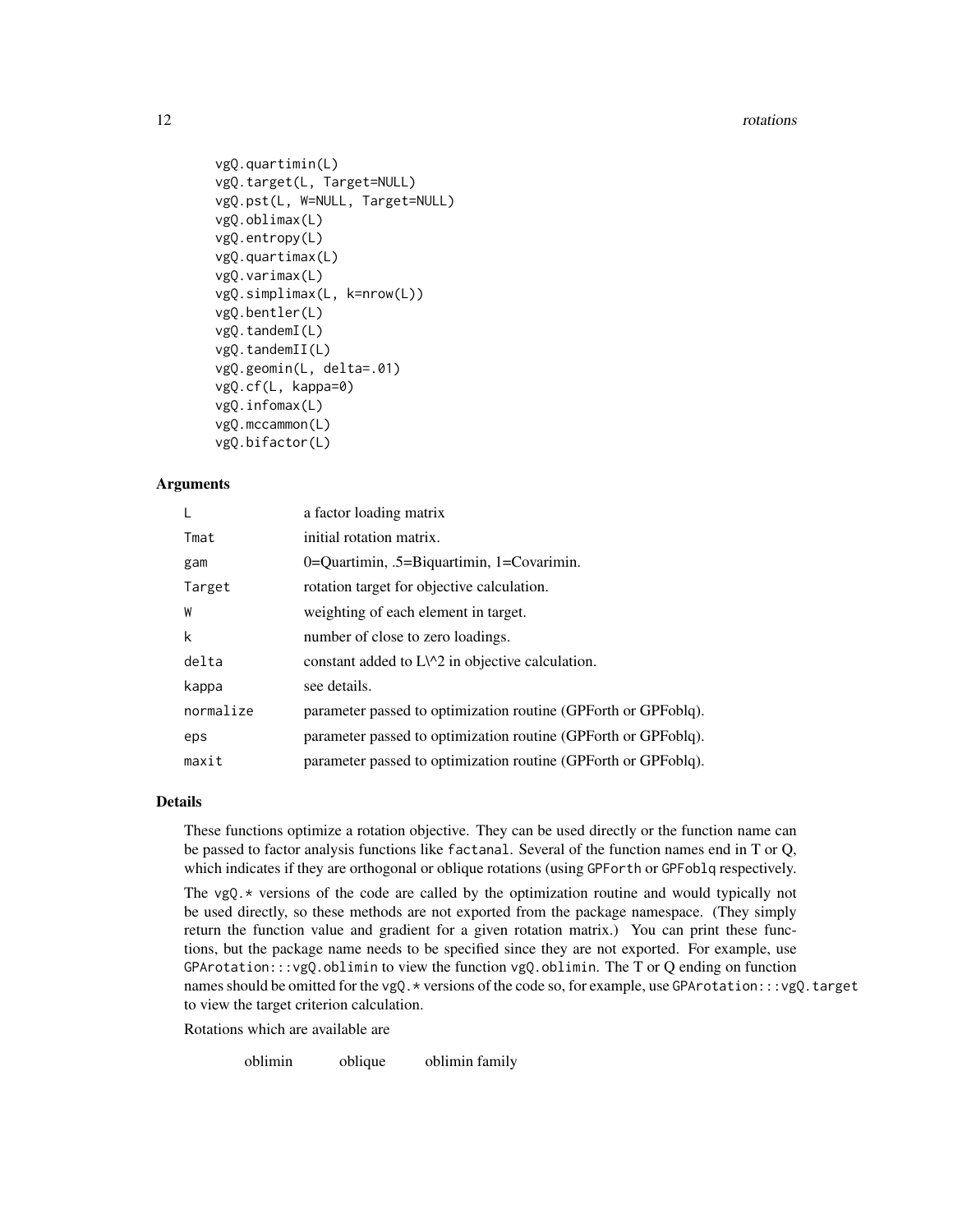```
vgQ.quartimin(L)
vgQ.target(L, Target=NULL)
vgQ.pst(L, W=NULL, Target=NULL)
vgQ.oblimax(L)
vgQ.entropy(L)
vgQ.quartimax(L)
vgQ.varimax(L)
vgQ.simplimax(L, k=nrow(L))
vgQ.bentler(L)
vgQ.tandemI(L)
vgQ.tandemII(L)
vgQ.geomin(L, delta=.01)
vgQ.cf(L, kappa=0)
vgQ.infomax(L)
vgQ.mccammon(L)
vgQ.bifactor(L)
```
#### Arguments

|           | a factor loading matrix                                        |
|-----------|----------------------------------------------------------------|
| Tmat      | initial rotation matrix.                                       |
| gam       | 0=Quartimin, .5=Biquartimin, $1=$ Covarimin.                   |
| Target    | rotation target for objective calculation.                     |
| W         | weighting of each element in target.                           |
| k         | number of close to zero loadings.                              |
| delta     | constant added to $L\wedge 2$ in objective calculation.        |
| kappa     | see details.                                                   |
| normalize | parameter passed to optimization routine (GPForth or GPFoblq). |
| eps       | parameter passed to optimization routine (GPForth or GPFoblq). |
| maxit     | parameter passed to optimization routine (GPForth or GPFoblq). |

#### Details

These functions optimize a rotation objective. They can be used directly or the function name can be passed to factor analysis functions like factanal. Several of the function names end in T or Q, which indicates if they are orthogonal or oblique rotations (using GPForth or GPFoblq respectively.

The  $vgQ.*$  versions of the code are called by the optimization routine and would typically not be used directly, so these methods are not exported from the package namespace. (They simply return the function value and gradient for a given rotation matrix.) You can print these functions, but the package name needs to be specified since they are not exported. For example, use  $GPartation:::vgQ.$ oblimin to view the function vgQ.oblimin. The T or Q ending on function names should be omitted for the vgQ. \* versions of the code so, for example, use GPArotation:::vgQ.target to view the target criterion calculation.

Rotations which are available are

oblimin oblique oblimin family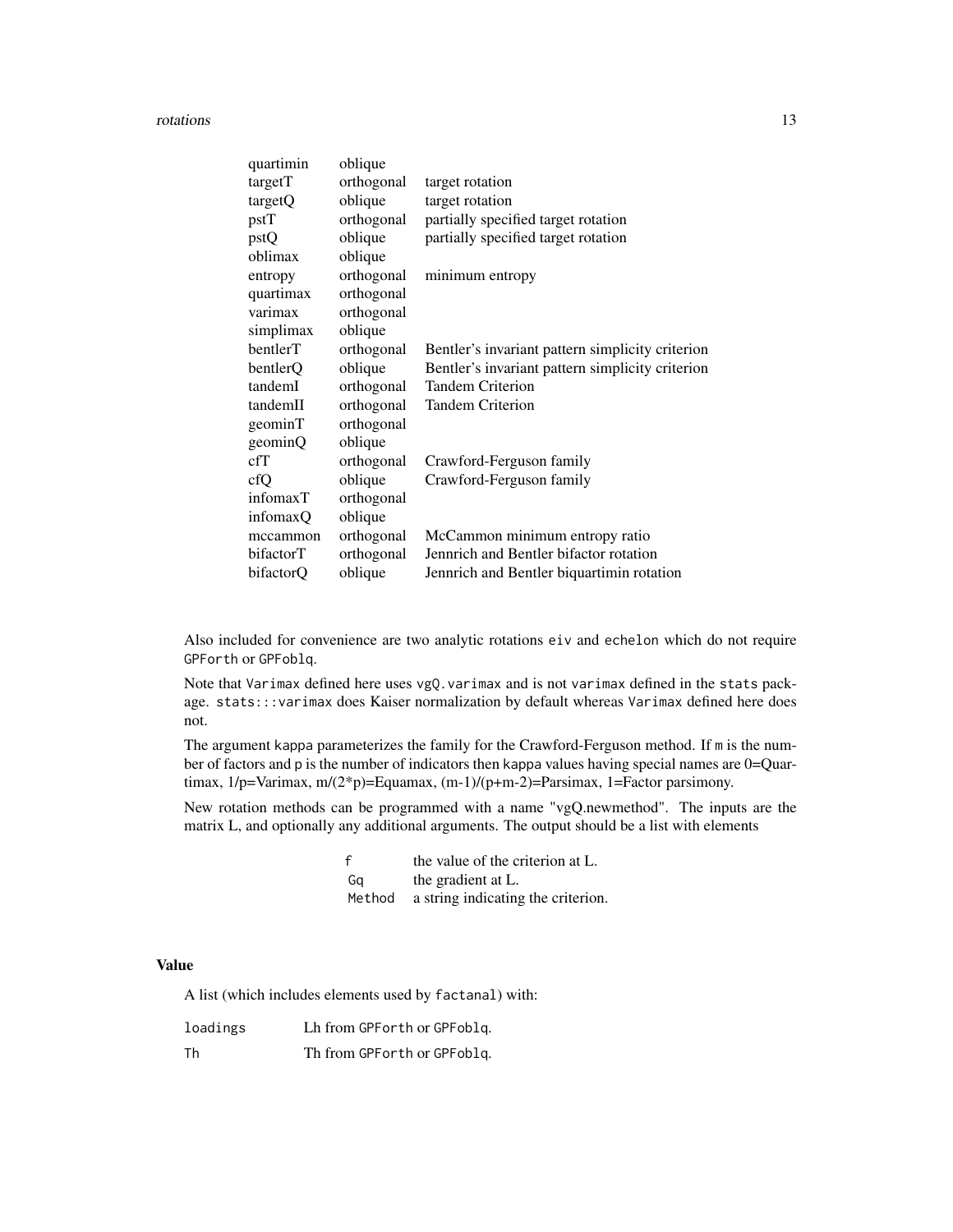rotations and the control of the control of the control of the control of the control of the control of the control of the control of the control of the control of the control of the control of the control of the control o

| quartimin | oblique    |                                                  |
|-----------|------------|--------------------------------------------------|
| targetT   | orthogonal | target rotation                                  |
| targetQ   | oblique    | target rotation                                  |
| pstT      | orthogonal | partially specified target rotation              |
| pstQ      | oblique    | partially specified target rotation              |
| oblimax   | oblique    |                                                  |
| entropy   | orthogonal | minimum entropy                                  |
| quartimax | orthogonal |                                                  |
| varimax   | orthogonal |                                                  |
| simplimax | oblique    |                                                  |
| bentlerT  | orthogonal | Bentler's invariant pattern simplicity criterion |
| bentlerQ  | oblique    | Bentler's invariant pattern simplicity criterion |
| tandemI   | orthogonal | <b>Tandem Criterion</b>                          |
| tandemII  | orthogonal | <b>Tandem Criterion</b>                          |
| geominT   | orthogonal |                                                  |
| geominQ   | oblique    |                                                  |
| cfT       | orthogonal | Crawford-Ferguson family                         |
| cfQ       | oblique    | Crawford-Ferguson family                         |
| infomaxT  | orthogonal |                                                  |
| infomaxQ  | oblique    |                                                  |
| mccammon  | orthogonal | McCammon minimum entropy ratio                   |
| bifactorT | orthogonal | Jennrich and Bentler bifactor rotation           |
| bifactorQ | oblique    | Jennrich and Bentler biquartimin rotation        |

Also included for convenience are two analytic rotations eiv and echelon which do not require GPForth or GPFoblq.

Note that Varimax defined here uses vgQ.varimax and is not varimax defined in the stats package. stats:::varimax does Kaiser normalization by default whereas Varimax defined here does not.

The argument kappa parameterizes the family for the Crawford-Ferguson method. If m is the number of factors and p is the number of indicators then kappa values having special names are 0=Quartimax, 1/p=Varimax, m/(2\*p)=Equamax, (m-1)/(p+m-2)=Parsimax, 1=Factor parsimony.

New rotation methods can be programmed with a name "vgQ.newmethod". The inputs are the matrix L, and optionally any additional arguments. The output should be a list with elements

| f      | the value of the criterion at L.   |
|--------|------------------------------------|
| Ga     | the gradient at L.                 |
| Method | a string indicating the criterion. |

#### Value

A list (which includes elements used by factanal) with:

| loadings | Lh from GPF or th or GPF oblq. |
|----------|--------------------------------|
| Th       | Th from GPF or th or GPF oblq. |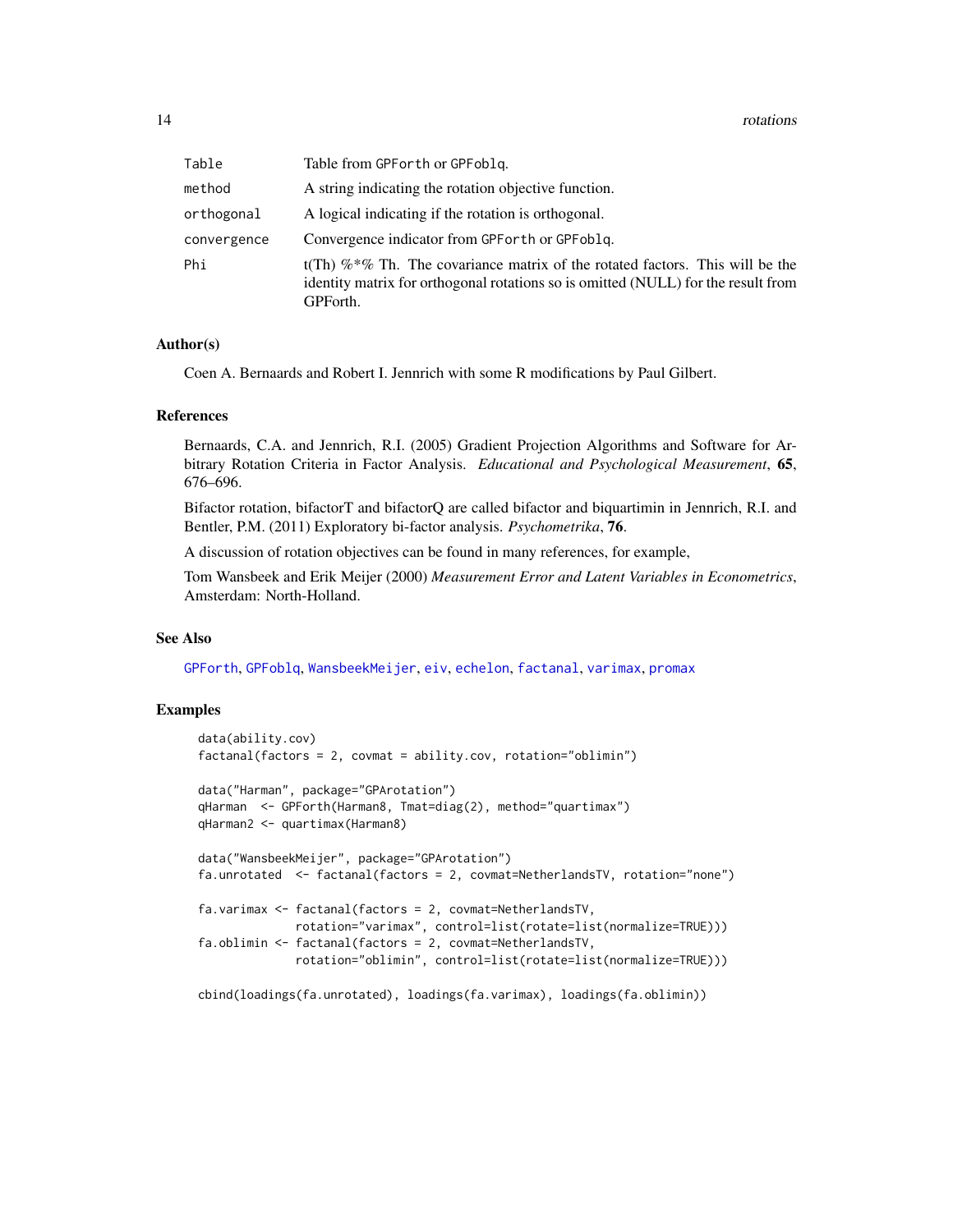<span id="page-13-0"></span>

| Table       | Table from GPF or th or GPF oblq.                                                                                                                                                 |
|-------------|-----------------------------------------------------------------------------------------------------------------------------------------------------------------------------------|
| method      | A string indicating the rotation objective function.                                                                                                                              |
| orthogonal  | A logical indicating if the rotation is orthogonal.                                                                                                                               |
| convergence | Convergence indicator from GPF or the or GPF obliq.                                                                                                                               |
| Phi         | t(Th) $\%$ *% Th. The covariance matrix of the rotated factors. This will be the<br>identity matrix for orthogonal rotations so is omitted (NULL) for the result from<br>GPForth. |

#### Author(s)

Coen A. Bernaards and Robert I. Jennrich with some R modifications by Paul Gilbert.

#### References

Bernaards, C.A. and Jennrich, R.I. (2005) Gradient Projection Algorithms and Software for Arbitrary Rotation Criteria in Factor Analysis. *Educational and Psychological Measurement*, 65, 676–696.

Bifactor rotation, bifactorT and bifactorQ are called bifactor and biquartimin in Jennrich, R.I. and Bentler, P.M. (2011) Exploratory bi-factor analysis. *Psychometrika*, 76.

A discussion of rotation objectives can be found in many references, for example,

Tom Wansbeek and Erik Meijer (2000) *Measurement Error and Latent Variables in Econometrics*, Amsterdam: North-Holland.

#### See Also

[GPForth](#page-6-1), [GPFoblq](#page-6-1), [WansbeekMeijer](#page-14-2), [eiv](#page-4-1), [echelon](#page-2-1), [factanal](#page-0-0), [varimax](#page-0-0), [promax](#page-0-0)

```
data(ability.cov)
factanal(factors = 2, covmat = ability.cov, rotation="oblimin")
data("Harman", package="GPArotation")
qHarman <- GPForth(Harman8, Tmat=diag(2), method="quartimax")
qHarman2 <- quartimax(Harman8)
data("WansbeekMeijer", package="GPArotation")
fa.unrotated <- factanal(factors = 2, covmat=NetherlandsTV, rotation="none")
fa.varimax <- factanal(factors = 2, covmat=NetherlandsTV,
              rotation="varimax", control=list(rotate=list(normalize=TRUE)))
fa.oblimin <- factanal(factors = 2, covmat=NetherlandsTV,
              rotation="oblimin", control=list(rotate=list(normalize=TRUE)))
cbind(loadings(fa.unrotated), loadings(fa.varimax), loadings(fa.oblimin))
```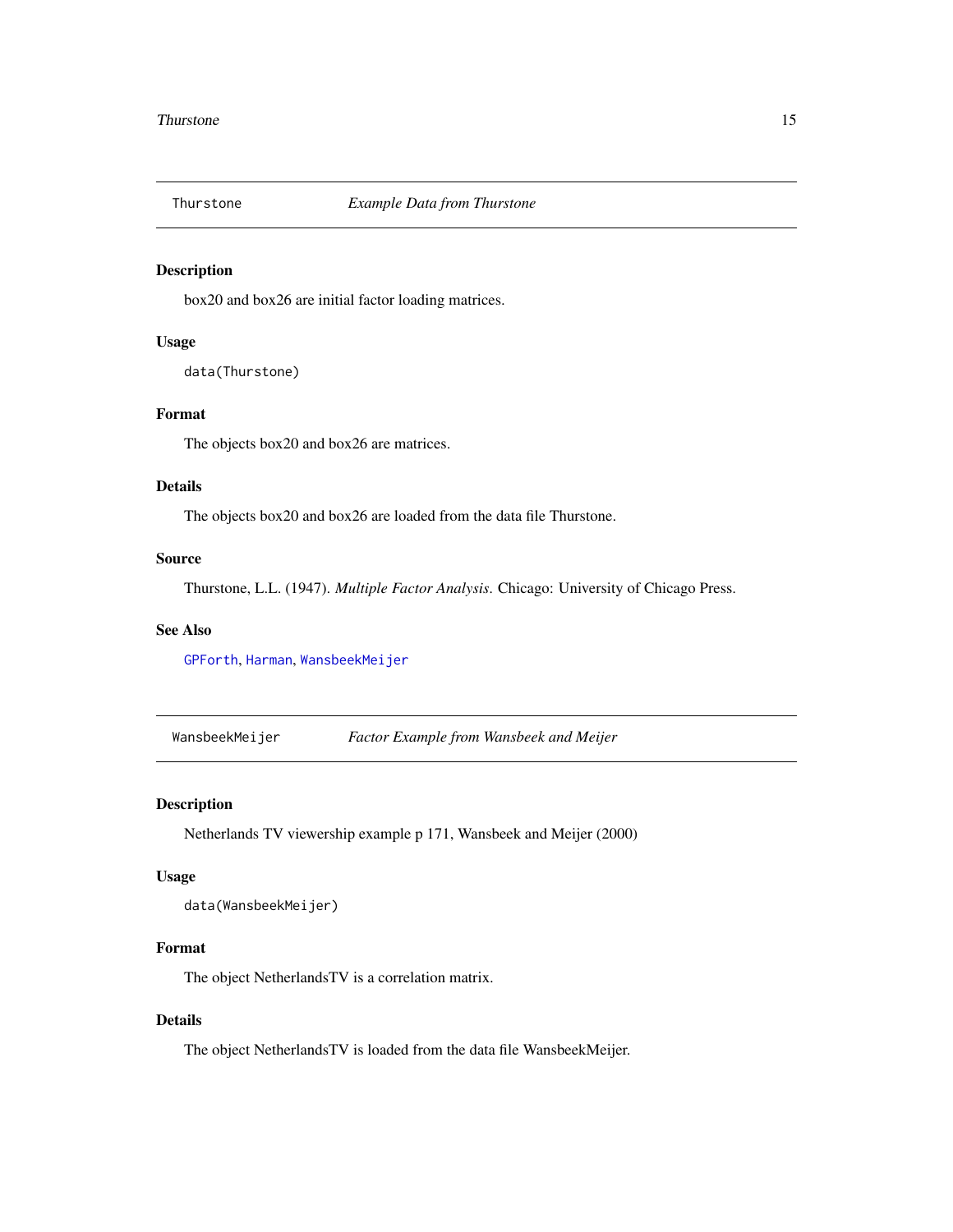<span id="page-14-1"></span><span id="page-14-0"></span>

box20 and box26 are initial factor loading matrices.

### Usage

data(Thurstone)

#### Format

The objects box20 and box26 are matrices.

#### Details

The objects box20 and box26 are loaded from the data file Thurstone.

#### Source

Thurstone, L.L. (1947). *Multiple Factor Analysis*. Chicago: University of Chicago Press.

#### See Also

[GPForth](#page-6-1), [Harman](#page-8-1), [WansbeekMeijer](#page-14-2)

<span id="page-14-2"></span>WansbeekMeijer *Factor Example from Wansbeek and Meijer*

#### Description

Netherlands TV viewership example p 171, Wansbeek and Meijer (2000)

#### Usage

```
data(WansbeekMeijer)
```
#### Format

The object NetherlandsTV is a correlation matrix.

## Details

The object NetherlandsTV is loaded from the data file WansbeekMeijer.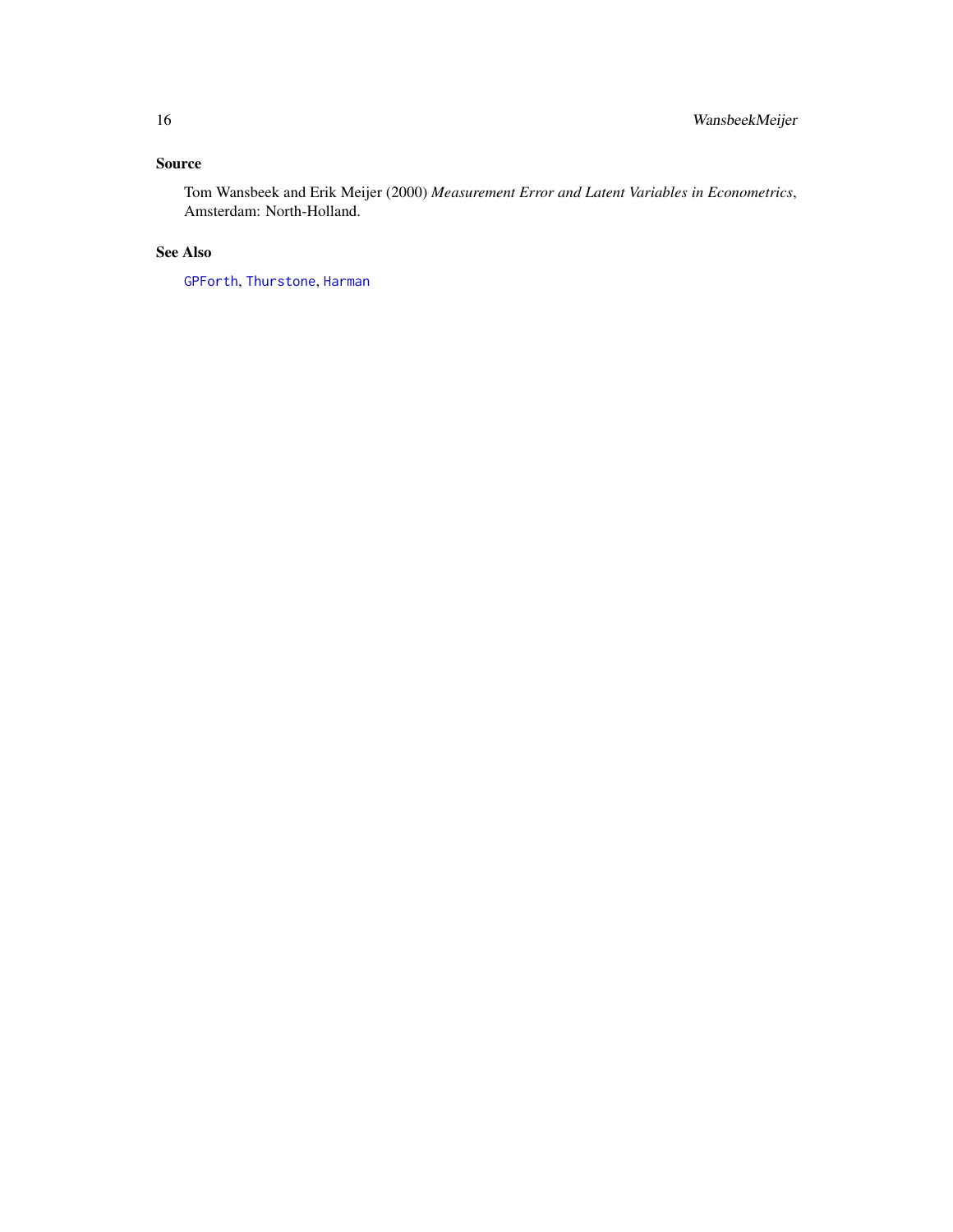# <span id="page-15-0"></span>Source

Tom Wansbeek and Erik Meijer (2000) *Measurement Error and Latent Variables in Econometrics*, Amsterdam: North-Holland.

# See Also

[GPForth](#page-6-1), [Thurstone](#page-14-1), [Harman](#page-8-1)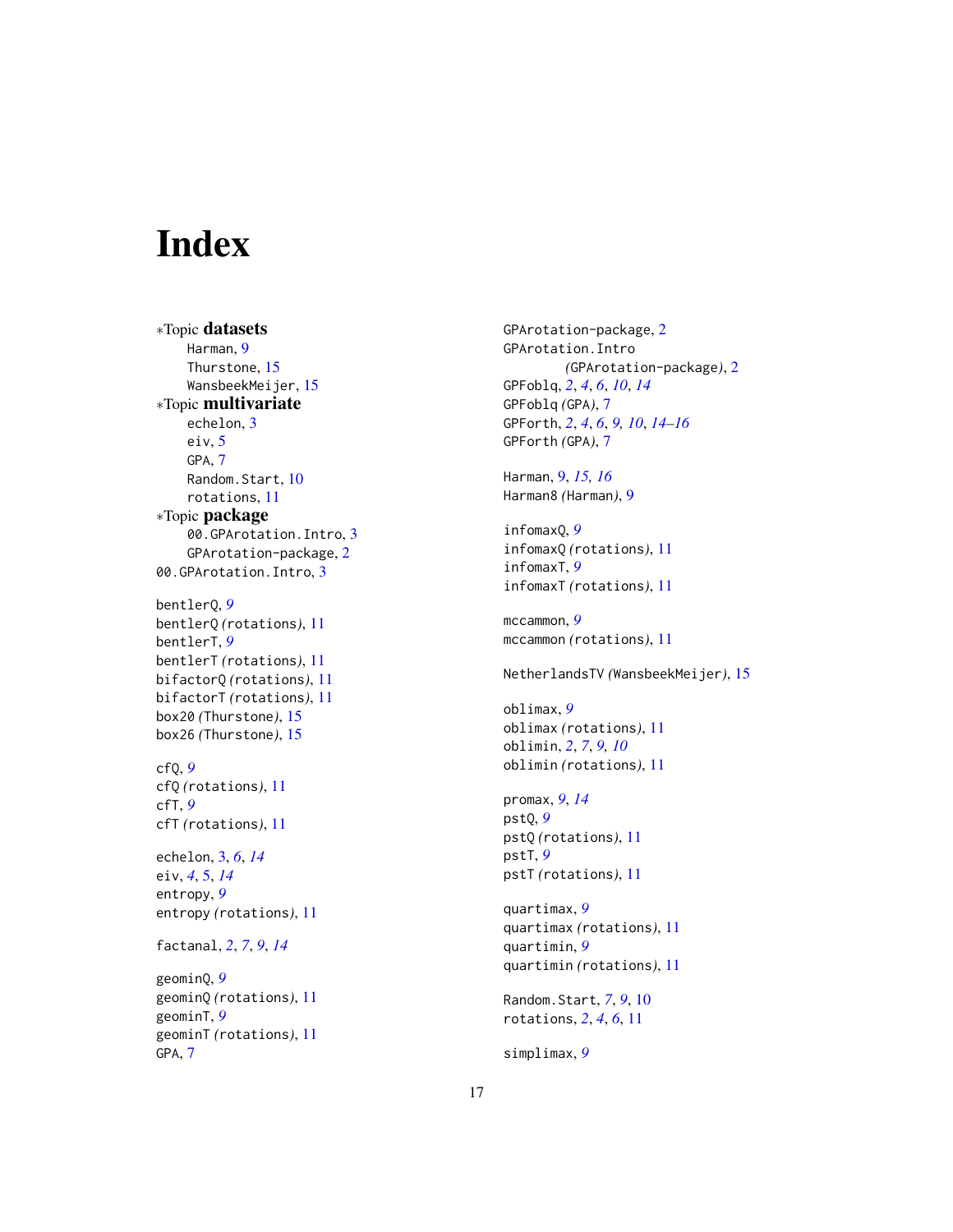# <span id="page-16-0"></span>Index

∗Topic datasets Harman, [9](#page-8-0) Thurstone, [15](#page-14-0) WansbeekMeijer, [15](#page-14-0) ∗Topic multivariate echelon, [3](#page-2-0) eiv, [5](#page-4-0) GPA, [7](#page-6-0) Random.Start, [10](#page-9-0) rotations, [11](#page-10-0) ∗Topic package 00.GPArotation.Intro, [3](#page-2-0) GPArotation-package, [2](#page-1-0) 00.GPArotation.Intro, [3](#page-2-0) bentlerQ, *[9](#page-8-0)*

bentlerQ *(*rotations*)*, [11](#page-10-0) bentlerT, *[9](#page-8-0)* bentlerT *(*rotations*)*, [11](#page-10-0) bifactorQ *(*rotations*)*, [11](#page-10-0) bifactorT *(*rotations*)*, [11](#page-10-0) box20 *(*Thurstone*)*, [15](#page-14-0) box26 *(*Thurstone*)*, [15](#page-14-0)

cfQ, *[9](#page-8-0)* cfQ *(*rotations*)*, [11](#page-10-0) cfT, *[9](#page-8-0)* cfT *(*rotations*)*, [11](#page-10-0)

echelon, [3,](#page-2-0) *[6](#page-5-0)*, *[14](#page-13-0)* eiv, *[4](#page-3-0)*, [5,](#page-4-0) *[14](#page-13-0)* entropy, *[9](#page-8-0)* entropy *(*rotations*)*, [11](#page-10-0)

factanal, *[2](#page-1-0)*, *[7](#page-6-0)*, *[9](#page-8-0)*, *[14](#page-13-0)*

geominQ, *[9](#page-8-0)* geominQ *(*rotations*)*, [11](#page-10-0) geominT, *[9](#page-8-0)* geominT *(*rotations*)*, [11](#page-10-0) GPA, [7](#page-6-0)

GPArotation-package, [2](#page-1-0) GPArotation.Intro *(*GPArotation-package*)*, [2](#page-1-0) GPFoblq, *[2](#page-1-0)*, *[4](#page-3-0)*, *[6](#page-5-0)*, *[10](#page-9-0)*, *[14](#page-13-0)* GPFoblq *(*GPA*)*, [7](#page-6-0) GPForth, *[2](#page-1-0)*, *[4](#page-3-0)*, *[6](#page-5-0)*, *[9,](#page-8-0) [10](#page-9-0)*, *[14](#page-13-0)[–16](#page-15-0)* GPForth *(*GPA*)*, [7](#page-6-0)

Harman, [9,](#page-8-0) *[15,](#page-14-0) [16](#page-15-0)* Harman8 *(*Harman*)*, [9](#page-8-0)

infomaxQ, *[9](#page-8-0)* infomaxQ *(*rotations*)*, [11](#page-10-0) infomaxT, *[9](#page-8-0)* infomaxT *(*rotations*)*, [11](#page-10-0)

mccammon, *[9](#page-8-0)* mccammon *(*rotations*)*, [11](#page-10-0)

NetherlandsTV *(*WansbeekMeijer*)*, [15](#page-14-0)

oblimax, *[9](#page-8-0)* oblimax *(*rotations*)*, [11](#page-10-0) oblimin, *[2](#page-1-0)*, *[7](#page-6-0)*, *[9,](#page-8-0) [10](#page-9-0)* oblimin *(*rotations*)*, [11](#page-10-0)

promax, *[9](#page-8-0)*, *[14](#page-13-0)* pstQ, *[9](#page-8-0)* pstQ *(*rotations*)*, [11](#page-10-0) pstT, *[9](#page-8-0)* pstT *(*rotations*)*, [11](#page-10-0)

quartimax, *[9](#page-8-0)* quartimax *(*rotations*)*, [11](#page-10-0) quartimin, *[9](#page-8-0)* quartimin *(*rotations*)*, [11](#page-10-0)

Random.Start, *[7](#page-6-0)*, *[9](#page-8-0)*, [10](#page-9-0) rotations, *[2](#page-1-0)*, *[4](#page-3-0)*, *[6](#page-5-0)*, [11](#page-10-0)

simplimax, *[9](#page-8-0)*